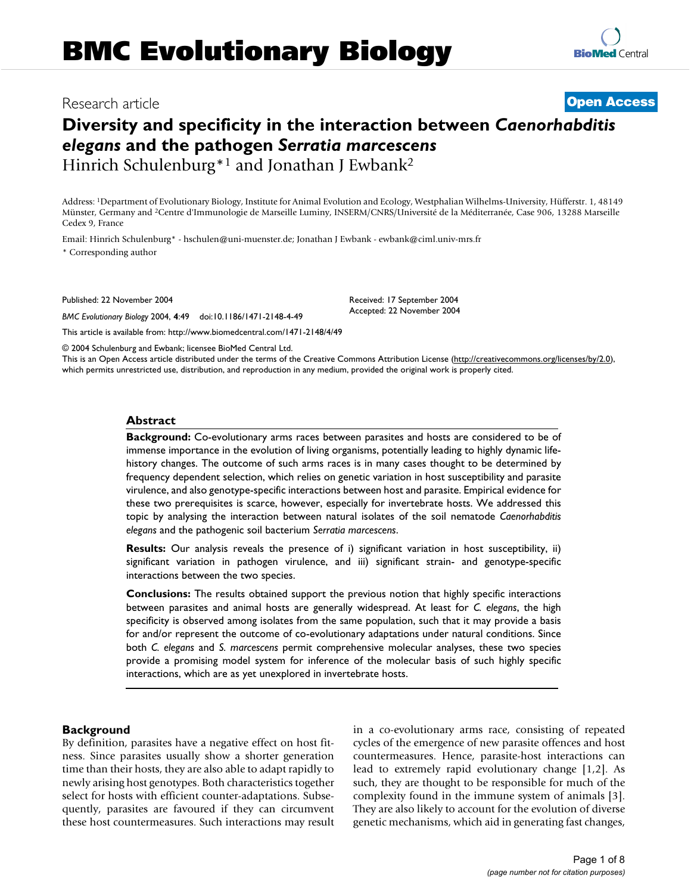# Research article **Contract Contract Contract Contract Contract Contract Contract Contract Contract Contract Contract Contract Contract Contract Contract Contract Contract Contract Contract Contract Contract Contract Contra**

# **Diversity and specificity in the interaction between** *Caenorhabditis elegans* **and the pathogen** *Serratia marcescens* Hinrich Schulenburg<sup>\*1</sup> and Jonathan J Ewbank<sup>2</sup>

Address: <sup>1</sup>Department of Evolutionary Biology, Institute for Animal Evolution and Ecology, Westphalian Wilhelms-University, Hüfferstr. 1, 48149 Münster, Germany and <sup>2</sup>Centre d'Immunologie de Marseille Luminy, INSERM/CNRS/Université de la Méditerranée, Case 906, 13288 Marseille Cedex 9, France

Email: Hinrich Schulenburg\* - hschulen@uni-muenster.de; Jonathan J Ewbank - ewbank@ciml.univ-mrs.fr

\* Corresponding author

Published: 22 November 2004

*BMC Evolutionary Biology* 2004, **4**:49 doi:10.1186/1471-2148-4-49

Received: 17 September 2004 Accepted: 22 November 2004

[This article is available from: http://www.biomedcentral.com/1471-2148/4/49](http://www.biomedcentral.com/1471-2148/4/49)

© 2004 Schulenburg and Ewbank; licensee BioMed Central Ltd.

This is an Open Access article distributed under the terms of the Creative Commons Attribution License [\(http://creativecommons.org/licenses/by/2.0\)](http://creativecommons.org/licenses/by/2.0), which permits unrestricted use, distribution, and reproduction in any medium, provided the original work is properly cited.

#### **Abstract**

**Background:** Co-evolutionary arms races between parasites and hosts are considered to be of immense importance in the evolution of living organisms, potentially leading to highly dynamic lifehistory changes. The outcome of such arms races is in many cases thought to be determined by frequency dependent selection, which relies on genetic variation in host susceptibility and parasite virulence, and also genotype-specific interactions between host and parasite. Empirical evidence for these two prerequisites is scarce, however, especially for invertebrate hosts. We addressed this topic by analysing the interaction between natural isolates of the soil nematode *Caenorhabditis elegans* and the pathogenic soil bacterium *Serratia marcescens*.

**Results:** Our analysis reveals the presence of i) significant variation in host susceptibility, ii) significant variation in pathogen virulence, and iii) significant strain- and genotype-specific interactions between the two species.

**Conclusions:** The results obtained support the previous notion that highly specific interactions between parasites and animal hosts are generally widespread. At least for *C. elegans*, the high specificity is observed among isolates from the same population, such that it may provide a basis for and/or represent the outcome of co-evolutionary adaptations under natural conditions. Since both *C. elegans* and *S. marcescens* permit comprehensive molecular analyses, these two species provide a promising model system for inference of the molecular basis of such highly specific interactions, which are as yet unexplored in invertebrate hosts.

#### **Background**

By definition, parasites have a negative effect on host fitness. Since parasites usually show a shorter generation time than their hosts, they are also able to adapt rapidly to newly arising host genotypes. Both characteristics together select for hosts with efficient counter-adaptations. Subsequently, parasites are favoured if they can circumvent these host countermeasures. Such interactions may result in a co-evolutionary arms race, consisting of repeated cycles of the emergence of new parasite offences and host countermeasures. Hence, parasite-host interactions can lead to extremely rapid evolutionary change [1,2]. As such, they are thought to be responsible for much of the complexity found in the immune system of animals [3]. They are also likely to account for the evolution of diverse genetic mechanisms, which aid in generating fast changes,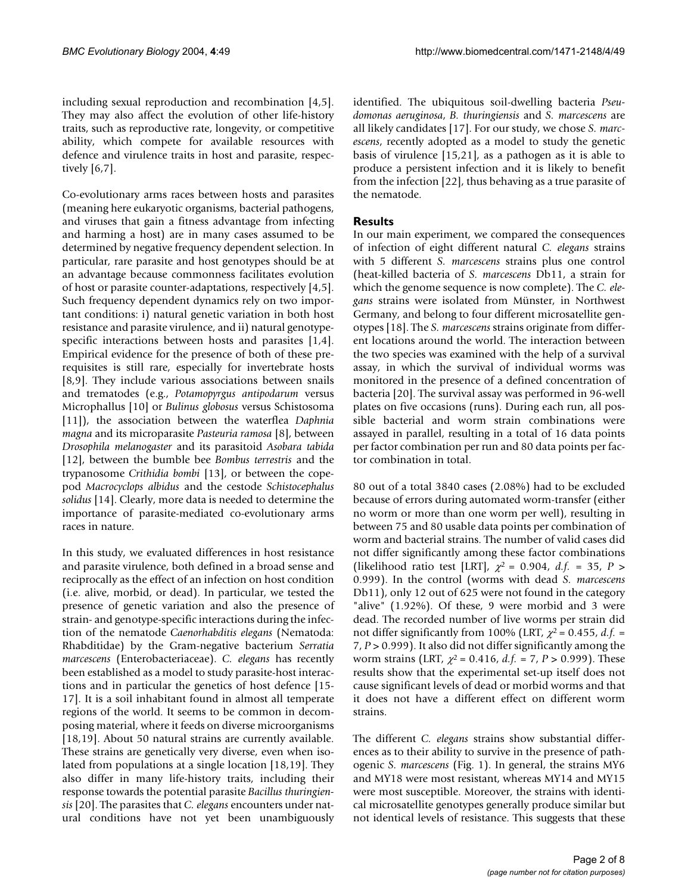including sexual reproduction and recombination [4,5]. They may also affect the evolution of other life-history traits, such as reproductive rate, longevity, or competitive ability, which compete for available resources with defence and virulence traits in host and parasite, respectively [6,7].

Co-evolutionary arms races between hosts and parasites (meaning here eukaryotic organisms, bacterial pathogens, and viruses that gain a fitness advantage from infecting and harming a host) are in many cases assumed to be determined by negative frequency dependent selection. In particular, rare parasite and host genotypes should be at an advantage because commonness facilitates evolution of host or parasite counter-adaptations, respectively [4,5]. Such frequency dependent dynamics rely on two important conditions: i) natural genetic variation in both host resistance and parasite virulence, and ii) natural genotypespecific interactions between hosts and parasites [1,4]. Empirical evidence for the presence of both of these prerequisites is still rare, especially for invertebrate hosts [8,9]. They include various associations between snails and trematodes (e.g., *Potamopyrgus antipodarum* versus Microphallus [10] or *Bulinus globosus* versus Schistosoma [11]), the association between the waterflea *Daphnia magna* and its microparasite *Pasteuria ramosa* [8], between *Drosophila melanogaster* and its parasitoid *Asobara tabida* [12], between the bumble bee *Bombus terrestris* and the trypanosome *Crithidia bombi* [13], or between the copepod *Macrocyclops albidus* and the cestode *Schistocephalus solidus* [14]. Clearly, more data is needed to determine the importance of parasite-mediated co-evolutionary arms races in nature.

In this study, we evaluated differences in host resistance and parasite virulence, both defined in a broad sense and reciprocally as the effect of an infection on host condition (i.e. alive, morbid, or dead). In particular, we tested the presence of genetic variation and also the presence of strain- and genotype-specific interactions during the infection of the nematode *Caenorhabditis elegans* (Nematoda: Rhabditidae) by the Gram-negative bacterium *Serratia marcescens* (Enterobacteriaceae). *C. elegans* has recently been established as a model to study parasite-host interactions and in particular the genetics of host defence [15- 17]. It is a soil inhabitant found in almost all temperate regions of the world. It seems to be common in decomposing material, where it feeds on diverse microorganisms [18,19]. About 50 natural strains are currently available. These strains are genetically very diverse, even when isolated from populations at a single location [18,19]. They also differ in many life-history traits, including their response towards the potential parasite *Bacillus thuringiensis* [20]. The parasites that *C. elegans* encounters under natural conditions have not yet been unambiguously identified. The ubiquitous soil-dwelling bacteria *Pseudomonas aeruginosa*, *B. thuringiensis* and *S. marcescens* are all likely candidates [17]. For our study, we chose *S. marcescens*, recently adopted as a model to study the genetic basis of virulence [15,21], as a pathogen as it is able to produce a persistent infection and it is likely to benefit from the infection [22], thus behaving as a true parasite of the nematode.

## **Results**

In our main experiment, we compared the consequences of infection of eight different natural *C. elegans* strains with 5 different *S. marcescens* strains plus one control (heat-killed bacteria of *S. marcescens* Db11, a strain for which the genome sequence is now complete). The *C. elegans* strains were isolated from Münster, in Northwest Germany, and belong to four different microsatellite genotypes [18]. The *S. marcescens* strains originate from different locations around the world. The interaction between the two species was examined with the help of a survival assay, in which the survival of individual worms was monitored in the presence of a defined concentration of bacteria [20]. The survival assay was performed in 96-well plates on five occasions (runs). During each run, all possible bacterial and worm strain combinations were assayed in parallel, resulting in a total of 16 data points per factor combination per run and 80 data points per factor combination in total.

80 out of a total 3840 cases (2.08%) had to be excluded because of errors during automated worm-transfer (either no worm or more than one worm per well), resulting in between 75 and 80 usable data points per combination of worm and bacterial strains. The number of valid cases did not differ significantly among these factor combinations (likelihood ratio test [LRT], χ<sup>2</sup>= 0.904, *d.f.* = 35, *P* > 0.999). In the control (worms with dead *S. marcescens* Db11), only 12 out of 625 were not found in the category "alive" (1.92%). Of these, 9 were morbid and 3 were dead. The recorded number of live worms per strain did not differ significantly from 100% (LRT,  $\chi^2$  = 0.455, *d.f.* = 7, *P* > 0.999). It also did not differ significantly among the worm strains (LRT, χ<sup>2</sup>= 0.416, *d.f.* = 7, *P* > 0.999). These results show that the experimental set-up itself does not cause significant levels of dead or morbid worms and that it does not have a different effect on different worm strains.

The different *C. elegans* strains show substantial differences as to their ability to survive in the presence of pathogenic *S. marcescens* (Fig. 1). In general, the strains MY6 and MY18 were most resistant, whereas MY14 and MY15 were most susceptible. Moreover, the strains with identical microsatellite genotypes generally produce similar but not identical levels of resistance. This suggests that these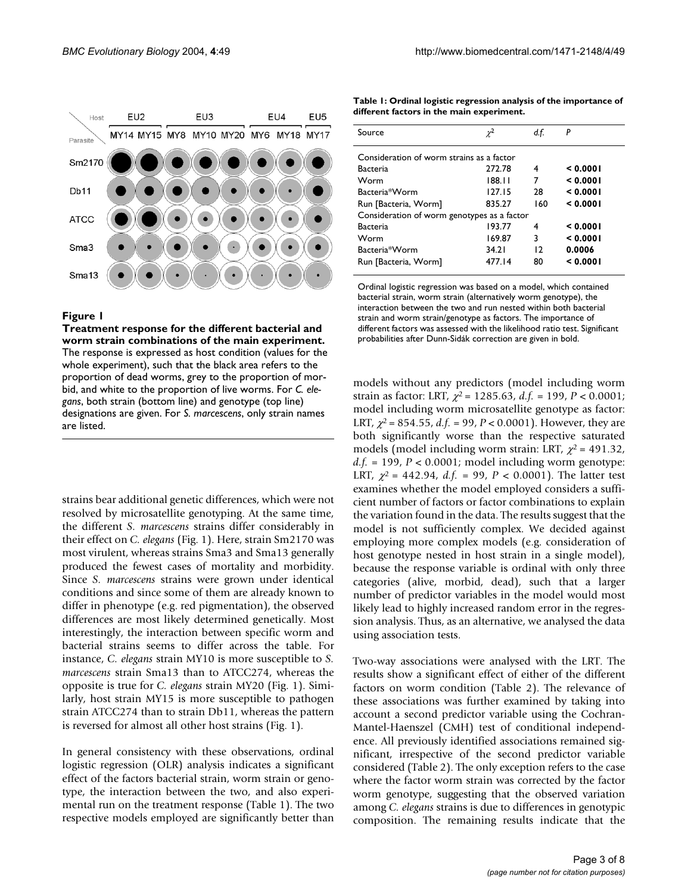

### Figure 1

**Treatment response for the different bacterial and worm strain combinations of the main experiment.**  The response is expressed as host condition (values for the whole experiment), such that the black area refers to the proportion of dead worms, grey to the proportion of morbid, and white to the proportion of live worms. For *C. elegans*, both strain (bottom line) and genotype (top line) designations are given. For *S. marcescens*, only strain names are listed.

strains bear additional genetic differences, which were not resolved by microsatellite genotyping. At the same time, the different *S. marcescens* strains differ considerably in their effect on *C. elegans* (Fig. 1). Here, strain Sm2170 was most virulent, whereas strains Sma3 and Sma13 generally produced the fewest cases of mortality and morbidity. Since *S. marcescens* strains were grown under identical conditions and since some of them are already known to differ in phenotype (e.g. red pigmentation), the observed differences are most likely determined genetically. Most interestingly, the interaction between specific worm and bacterial strains seems to differ across the table. For instance, *C. elegans* strain MY10 is more susceptible to *S. marcescens* strain Sma13 than to ATCC274, whereas the opposite is true for *C. elegans* strain MY20 (Fig. 1). Similarly, host strain MY15 is more susceptible to pathogen strain ATCC274 than to strain Db11, whereas the pattern is reversed for almost all other host strains (Fig. 1).

In general consistency with these observations, ordinal logistic regression (OLR) analysis indicates a significant effect of the factors bacterial strain, worm strain or genotype, the interaction between the two, and also experimental run on the treatment response (Table [1\)](#page-2-0). The two respective models employed are significantly better than

<span id="page-2-0"></span>**Table 1: Ordinal logistic regression analysis of the importance of different factors in the main experiment.**

| Source                                      | $\gamma^2$ | d.f.           | P        |  |  |  |  |
|---------------------------------------------|------------|----------------|----------|--|--|--|--|
| Consideration of worm strains as a factor   |            |                |          |  |  |  |  |
| <b>Bacteria</b>                             | 272.78     | 4              | < 0.0001 |  |  |  |  |
| Worm                                        | 188.11     | 7              | < 0.0001 |  |  |  |  |
| Bacteria <sup>*</sup> Worm                  | 127.15     | 28             | < 0.0001 |  |  |  |  |
| Run [Bacteria, Worm]                        | 835.27     | 160            | < 0.0001 |  |  |  |  |
| Consideration of worm genotypes as a factor |            |                |          |  |  |  |  |
| <b>Bacteria</b>                             | 193.77     | 4              | < 0.0001 |  |  |  |  |
| Worm                                        | 169.87     | 3              | 0.0001   |  |  |  |  |
| Bacteria*Worm                               | 34.21      | $\overline{2}$ | 0.0006   |  |  |  |  |
| Run [Bacteria, Worm]                        | 477.14     | 80             | < 0.0001 |  |  |  |  |

Ordinal logistic regression was based on a model, which contained bacterial strain, worm strain (alternatively worm genotype), the interaction between the two and run nested within both bacterial strain and worm strain/genotype as factors. The importance of different factors was assessed with the likelihood ratio test. Significant probabilities after Dunn-Sidák correction are given in bold.

models without any predictors (model including worm strain as factor: LRT, χ<sup>2</sup>= 1285.63, *d.f.* = 199, *P* < 0.0001; model including worm microsatellite genotype as factor: LRT,  $\chi^2$  = 854.55, d.f. = 99, P < 0.0001). However, they are both significantly worse than the respective saturated models (model including worm strain: LRT,  $\chi^2$  = 491.32, *d.f.* = 199, *P* < 0.0001; model including worm genotype: LRT,  $\chi^2$  = 442.94, d.f. = 99, P < 0.0001). The latter test examines whether the model employed considers a sufficient number of factors or factor combinations to explain the variation found in the data. The results suggest that the model is not sufficiently complex. We decided against employing more complex models (e.g. consideration of host genotype nested in host strain in a single model), because the response variable is ordinal with only three categories (alive, morbid, dead), such that a larger number of predictor variables in the model would most likely lead to highly increased random error in the regression analysis. Thus, as an alternative, we analysed the data using association tests.

Two-way associations were analysed with the LRT. The results show a significant effect of either of the different factors on worm condition (Table 2). The relevance of these associations was further examined by taking into account a second predictor variable using the Cochran-Mantel-Haenszel (CMH) test of conditional independence. All previously identified associations remained significant, irrespective of the second predictor variable considered (Table 2). The only exception refers to the case where the factor worm strain was corrected by the factor worm genotype, suggesting that the observed variation among *C. elegans* strains is due to differences in genotypic composition. The remaining results indicate that the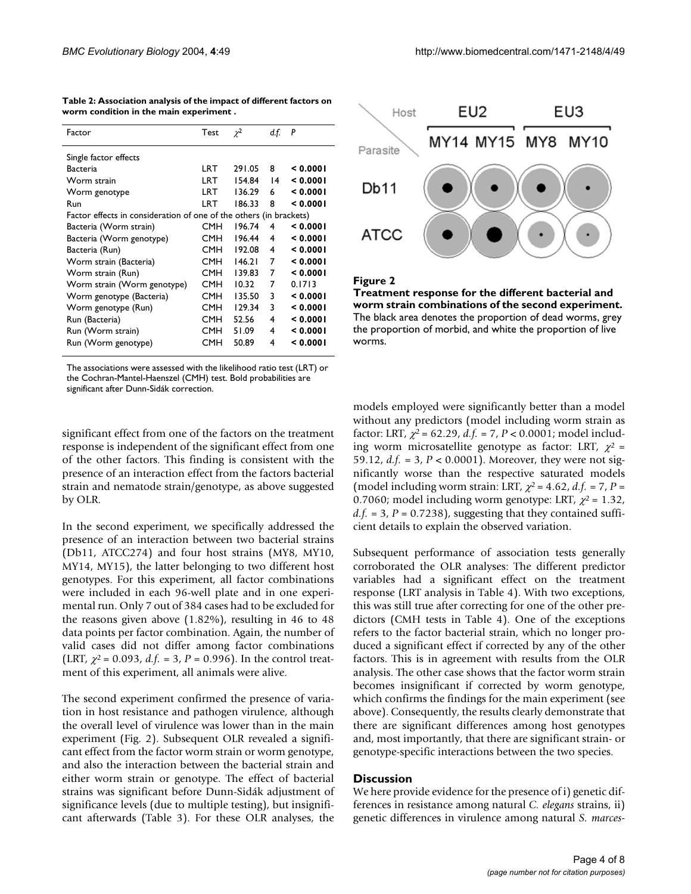| Factor                                                             | Test       | $\chi^2$ | d.f. | P        |  |  |
|--------------------------------------------------------------------|------------|----------|------|----------|--|--|
| Single factor effects                                              |            |          |      |          |  |  |
| <b>Bacteria</b>                                                    | LRT        | 291.05   | 8    | < 0.0001 |  |  |
| Worm strain                                                        | LRT        | 154.84   | 14   | < 0.0001 |  |  |
| Worm genotype                                                      | LRT        | 136.29   | 6    | < 0.0001 |  |  |
| Run                                                                | LRT        | 186.33   | 8    | < 0.0001 |  |  |
| Factor effects in consideration of one of the others (in brackets) |            |          |      |          |  |  |
| Bacteria (Worm strain)                                             | CMH        | 196.74   | 4    | 0.0001   |  |  |
| Bacteria (Worm genotype)                                           | CMH        | 196.44   | 4    | < 0.0001 |  |  |
| Bacteria (Run)                                                     | CMH        | 192.08   | 4    | < 0.0001 |  |  |
| Worm strain (Bacteria)                                             | <b>CMH</b> | 146.21   | 7    | < 0.0001 |  |  |
| Worm strain (Run)                                                  | <b>CMH</b> | 139.83   | 7    | < 0.0001 |  |  |
| Worm strain (Worm genotype)                                        | <b>CMH</b> | 10.32    | 7    | 0.1713   |  |  |
| Worm genotype (Bacteria)                                           | CMH        | 135.50   | 3    | 0.0001   |  |  |
| Worm genotype (Run)                                                | <b>CMH</b> | 129.34   | 3    | 0.0001   |  |  |
| Run (Bacteria)                                                     | <b>CMH</b> | 52.56    | 4    | < 0.0001 |  |  |
| Run (Worm strain)                                                  | CMH        | 51.09    | 4    | < 0.0001 |  |  |
| Run (Worm genotype)                                                | CMH        | 50.89    | 4    | < 0.0001 |  |  |

**Table 2: Association analysis of the impact of different factors on worm condition in the main experiment .**

The associations were assessed with the likelihood ratio test (LRT) or the Cochran-Mantel-Haenszel (CMH) test. Bold probabilities are significant after Dunn-Sidák correction.

significant effect from one of the factors on the treatment response is independent of the significant effect from one of the other factors. This finding is consistent with the presence of an interaction effect from the factors bacterial strain and nematode strain/genotype, as above suggested by OLR.

In the second experiment, we specifically addressed the presence of an interaction between two bacterial strains (Db11, ATCC274) and four host strains (MY8, MY10, MY14, MY15), the latter belonging to two different host genotypes. For this experiment, all factor combinations were included in each 96-well plate and in one experimental run. Only 7 out of 384 cases had to be excluded for the reasons given above (1.82%), resulting in 46 to 48 data points per factor combination. Again, the number of valid cases did not differ among factor combinations (LRT,  $\chi^2$  = 0.093, d.f. = 3, P = 0.996). In the control treatment of this experiment, all animals were alive.

The second experiment confirmed the presence of variation in host resistance and pathogen virulence, although the overall level of virulence was lower than in the main experiment (Fig. 2). Subsequent OLR revealed a significant effect from the factor worm strain or worm genotype, and also the interaction between the bacterial strain and either worm strain or genotype. The effect of bacterial strains was significant before Dunn-Sidák adjustment of significance levels (due to multiple testing), but insignificant afterwards (Table 3). For these OLR analyses, the



**Treatment response for the different bacterial and worm strain combinations of the second experiment.**  The black area denotes the proportion of dead worms, grey the proportion of morbid, and white the proportion of live worms.

models employed were significantly better than a model without any predictors (model including worm strain as factor: LRT,  $\chi^2$  = 62.29, d.f. = 7, P < 0.0001; model including worm microsatellite genotype as factor: LRT,  $\chi^2$  = 59.12, *d.f.* = 3, *P* < 0.0001). Moreover, they were not significantly worse than the respective saturated models (model including worm strain: LRT,  $\chi^2$  = 4.62, d.f. = 7, P = 0.7060; model including worm genotype: LRT,  $\chi^2$  = 1.32,  $d.f. = 3$ ,  $P = 0.7238$ ), suggesting that they contained sufficient details to explain the observed variation.

Subsequent performance of association tests generally corroborated the OLR analyses: The different predictor variables had a significant effect on the treatment response (LRT analysis in Table [4](#page-4-0)). With two exceptions, this was still true after correcting for one of the other predictors (CMH tests in Table [4\)](#page-4-0). One of the exceptions refers to the factor bacterial strain, which no longer produced a significant effect if corrected by any of the other factors. This is in agreement with results from the OLR analysis. The other case shows that the factor worm strain becomes insignificant if corrected by worm genotype, which confirms the findings for the main experiment (see above). Consequently, the results clearly demonstrate that there are significant differences among host genotypes and, most importantly, that there are significant strain- or genotype-specific interactions between the two species.

#### **Discussion**

We here provide evidence for the presence of i) genetic differences in resistance among natural *C. elegans* strains, ii) genetic differences in virulence among natural *S. marces-*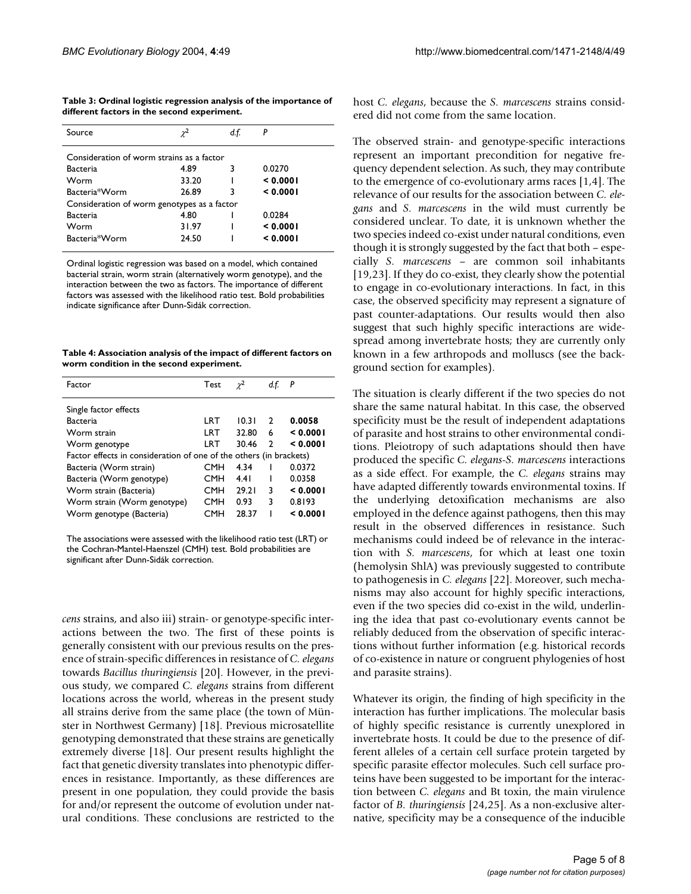**Table 3: Ordinal logistic regression analysis of the importance of different factors in the second experiment.** 

| Source                                      | $\gamma^2$ | d.f. | P      |  |  |  |  |
|---------------------------------------------|------------|------|--------|--|--|--|--|
| Consideration of worm strains as a factor   |            |      |        |  |  |  |  |
| Bacteria                                    | 4.89       | 3    | 0.0270 |  |  |  |  |
| Worm                                        | 33.20      |      | 0.0001 |  |  |  |  |
| Bacteria*Worm                               | 26.89      | 3    | 0.0001 |  |  |  |  |
| Consideration of worm genotypes as a factor |            |      |        |  |  |  |  |
| <b>Bacteria</b>                             | 4.80       |      | 0.0284 |  |  |  |  |
| Worm                                        | 31.97      |      | 0.0001 |  |  |  |  |
| Bacteria*Worm                               | 24.50      |      | 0.0001 |  |  |  |  |
|                                             |            |      |        |  |  |  |  |

Ordinal logistic regression was based on a model, which contained bacterial strain, worm strain (alternatively worm genotype), and the interaction between the two as factors. The importance of different factors was assessed with the likelihood ratio test. Bold probabilities indicate significance after Dunn-Sidák correction.

<span id="page-4-0"></span>**Table 4: Association analysis of the impact of different factors on worm condition in the second experiment.** 

| Factor                                                             | Test       | $\chi^2$ | d.f. | P        |  |  |
|--------------------------------------------------------------------|------------|----------|------|----------|--|--|
| Single factor effects                                              |            |          |      |          |  |  |
| <b>Bacteria</b>                                                    | I RT       | 10.31    | 2    | 0.0058   |  |  |
| Worm strain                                                        | I RT       | 32.80    | 6    | < 0.0001 |  |  |
| Worm genotype                                                      | I RT       | 30.46    | 2    | < 0.0001 |  |  |
| Factor effects in consideration of one of the others (in brackets) |            |          |      |          |  |  |
| Bacteria (Worm strain)                                             | CMH        | 4.34     |      | 0.0372   |  |  |
| Bacteria (Worm genotype)                                           | CMH        | 4.41     |      | 0.0358   |  |  |
| Worm strain (Bacteria)                                             | CMH        | 29.21    | ٦    | 0.0001   |  |  |
| Worm strain (Worm genotype)                                        | CMH        | 0.93     | 3    | 0.8193   |  |  |
| Worm genotype (Bacteria)                                           | <b>CMH</b> | 28.37    |      | < 0.0001 |  |  |

The associations were assessed with the likelihood ratio test (LRT) or the Cochran-Mantel-Haenszel (CMH) test. Bold probabilities are significant after Dunn-Sidák correction.

*cens* strains, and also iii) strain- or genotype-specific interactions between the two. The first of these points is generally consistent with our previous results on the presence of strain-specific differences in resistance of *C. elegans* towards *Bacillus thuringiensis* [20]. However, in the previous study, we compared *C. elegans* strains from different locations across the world, whereas in the present study all strains derive from the same place (the town of Münster in Northwest Germany) [18]. Previous microsatellite genotyping demonstrated that these strains are genetically extremely diverse [18]. Our present results highlight the fact that genetic diversity translates into phenotypic differences in resistance. Importantly, as these differences are present in one population, they could provide the basis for and/or represent the outcome of evolution under natural conditions. These conclusions are restricted to the host *C. elegans*, because the *S. marcescens* strains considered did not come from the same location.

The observed strain- and genotype-specific interactions represent an important precondition for negative frequency dependent selection. As such, they may contribute to the emergence of co-evolutionary arms races [1,4]. The relevance of our results for the association between *C. elegans* and *S. marcescens* in the wild must currently be considered unclear. To date, it is unknown whether the two species indeed co-exist under natural conditions, even though it is strongly suggested by the fact that both – especially *S. marcescens* – are common soil inhabitants [19,23]. If they do co-exist, they clearly show the potential to engage in co-evolutionary interactions. In fact, in this case, the observed specificity may represent a signature of past counter-adaptations. Our results would then also suggest that such highly specific interactions are widespread among invertebrate hosts; they are currently only known in a few arthropods and molluscs (see the background section for examples).

The situation is clearly different if the two species do not share the same natural habitat. In this case, the observed specificity must be the result of independent adaptations of parasite and host strains to other environmental conditions. Pleiotropy of such adaptations should then have produced the specific *C. elegans*-*S. marcescens* interactions as a side effect. For example, the *C. elegans* strains may have adapted differently towards environmental toxins. If the underlying detoxification mechanisms are also employed in the defence against pathogens, then this may result in the observed differences in resistance. Such mechanisms could indeed be of relevance in the interaction with *S. marcescens*, for which at least one toxin (hemolysin ShlA) was previously suggested to contribute to pathogenesis in *C. elegans* [22]. Moreover, such mechanisms may also account for highly specific interactions, even if the two species did co-exist in the wild, underlining the idea that past co-evolutionary events cannot be reliably deduced from the observation of specific interactions without further information (e.g. historical records of co-existence in nature or congruent phylogenies of host and parasite strains).

Whatever its origin, the finding of high specificity in the interaction has further implications. The molecular basis of highly specific resistance is currently unexplored in invertebrate hosts. It could be due to the presence of different alleles of a certain cell surface protein targeted by specific parasite effector molecules. Such cell surface proteins have been suggested to be important for the interaction between *C. elegans* and Bt toxin, the main virulence factor of *B. thuringiensis* [24,25]. As a non-exclusive alternative, specificity may be a consequence of the inducible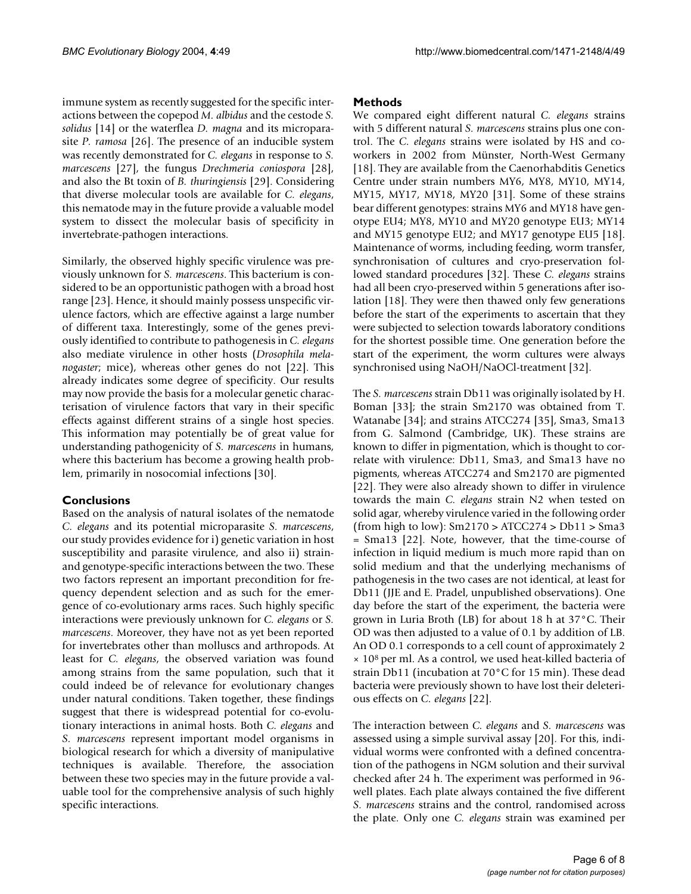immune system as recently suggested for the specific interactions between the copepod *M. albidus* and the cestode *S. solidus* [14] or the waterflea *D. magna* and its microparasite *P. ramosa* [26]. The presence of an inducible system was recently demonstrated for *C. elegans* in response to *S. marcescens* [27], the fungus *Drechmeria coniospora* [28], and also the Bt toxin of *B. thuringiensis* [29]. Considering that diverse molecular tools are available for *C. elegans*, this nematode may in the future provide a valuable model system to dissect the molecular basis of specificity in invertebrate-pathogen interactions.

Similarly, the observed highly specific virulence was previously unknown for *S. marcescens*. This bacterium is considered to be an opportunistic pathogen with a broad host range [23]. Hence, it should mainly possess unspecific virulence factors, which are effective against a large number of different taxa. Interestingly, some of the genes previously identified to contribute to pathogenesis in *C. elegans* also mediate virulence in other hosts (*Drosophila melanogaster*; mice), whereas other genes do not [22]. This already indicates some degree of specificity. Our results may now provide the basis for a molecular genetic characterisation of virulence factors that vary in their specific effects against different strains of a single host species. This information may potentially be of great value for understanding pathogenicity of *S. marcescens* in humans, where this bacterium has become a growing health problem, primarily in nosocomial infections [30].

# **Conclusions**

Based on the analysis of natural isolates of the nematode *C. elegans* and its potential microparasite *S. marcescens*, our study provides evidence for i) genetic variation in host susceptibility and parasite virulence, and also ii) strainand genotype-specific interactions between the two. These two factors represent an important precondition for frequency dependent selection and as such for the emergence of co-evolutionary arms races. Such highly specific interactions were previously unknown for *C. elegans* or *S. marcescens*. Moreover, they have not as yet been reported for invertebrates other than molluscs and arthropods. At least for *C. elegans*, the observed variation was found among strains from the same population, such that it could indeed be of relevance for evolutionary changes under natural conditions. Taken together, these findings suggest that there is widespread potential for co-evolutionary interactions in animal hosts. Both *C. elegans* and *S. marcescens* represent important model organisms in biological research for which a diversity of manipulative techniques is available. Therefore, the association between these two species may in the future provide a valuable tool for the comprehensive analysis of such highly specific interactions.

# **Methods**

We compared eight different natural *C. elegans* strains with 5 different natural *S. marcescens* strains plus one control. The *C. elegans* strains were isolated by HS and coworkers in 2002 from Münster, North-West Germany [18]. They are available from the Caenorhabditis Genetics Centre under strain numbers MY6, MY8, MY10, MY14, MY15, MY17, MY18, MY20 [31]. Some of these strains bear different genotypes: strains MY6 and MY18 have genotype EU4; MY8, MY10 and MY20 genotype EU3; MY14 and MY15 genotype EU2; and MY17 genotype EU5 [18]. Maintenance of worms, including feeding, worm transfer, synchronisation of cultures and cryo-preservation followed standard procedures [32]. These *C. elegans* strains had all been cryo-preserved within 5 generations after isolation [18]. They were then thawed only few generations before the start of the experiments to ascertain that they were subjected to selection towards laboratory conditions for the shortest possible time. One generation before the start of the experiment, the worm cultures were always synchronised using NaOH/NaOCl-treatment [32].

The *S. marcescens* strain Db11 was originally isolated by H. Boman [33]; the strain Sm2170 was obtained from T. Watanabe [34]; and strains ATCC274 [35], Sma3, Sma13 from G. Salmond (Cambridge, UK). These strains are known to differ in pigmentation, which is thought to correlate with virulence: Db11, Sma3, and Sma13 have no pigments, whereas ATCC274 and Sm2170 are pigmented [22]. They were also already shown to differ in virulence towards the main *C. elegans* strain N2 when tested on solid agar, whereby virulence varied in the following order (from high to low):  $Sm2170 > ATCC274 > Db11 > Sma3$ = Sma13 [22]. Note, however, that the time-course of infection in liquid medium is much more rapid than on solid medium and that the underlying mechanisms of pathogenesis in the two cases are not identical, at least for Db11 (JJE and E. Pradel, unpublished observations). One day before the start of the experiment, the bacteria were grown in Luria Broth (LB) for about 18 h at 37°C. Their OD was then adjusted to a value of 0.1 by addition of LB. An OD 0.1 corresponds to a cell count of approximately 2  $\times$  10<sup>8</sup> per ml. As a control, we used heat-killed bacteria of strain Db11 (incubation at 70°C for 15 min). These dead bacteria were previously shown to have lost their deleterious effects on *C. elegans* [22].

The interaction between *C. elegans* and *S. marcescens* was assessed using a simple survival assay [20]. For this, individual worms were confronted with a defined concentration of the pathogens in NGM solution and their survival checked after 24 h. The experiment was performed in 96 well plates. Each plate always contained the five different *S. marcescens* strains and the control, randomised across the plate. Only one *C. elegans* strain was examined per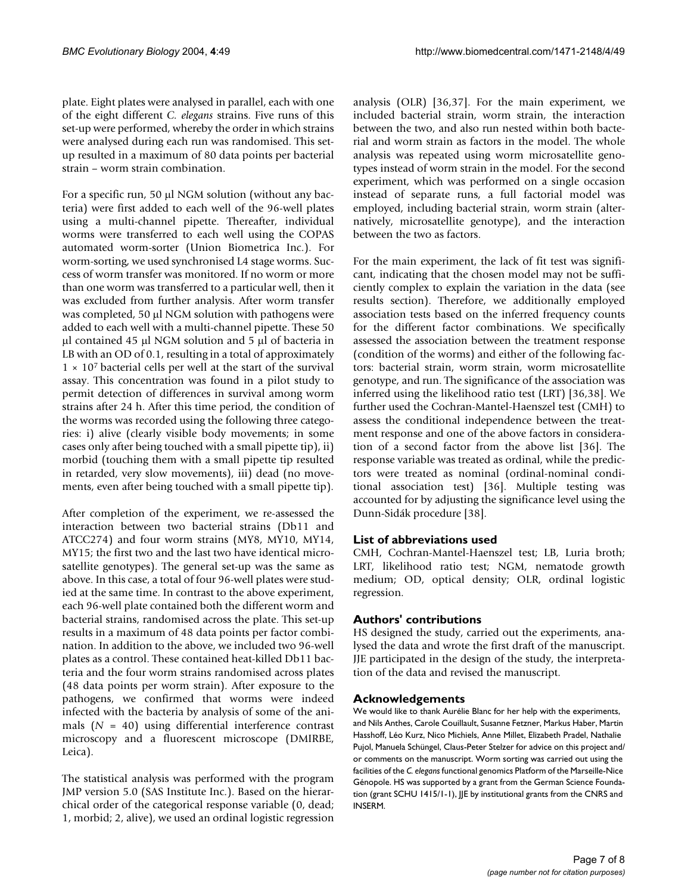plate. Eight plates were analysed in parallel, each with one of the eight different *C. elegans* strains. Five runs of this set-up were performed, whereby the order in which strains were analysed during each run was randomised. This setup resulted in a maximum of 80 data points per bacterial strain – worm strain combination.

For a specific run, 50 µl NGM solution (without any bacteria) were first added to each well of the 96-well plates using a multi-channel pipette. Thereafter, individual worms were transferred to each well using the COPAS automated worm-sorter (Union Biometrica Inc.). For worm-sorting, we used synchronised L4 stage worms. Success of worm transfer was monitored. If no worm or more than one worm was transferred to a particular well, then it was excluded from further analysis. After worm transfer was completed, 50 µl NGM solution with pathogens were added to each well with a multi-channel pipette. These 50  $\mu$ l contained 45  $\mu$ l NGM solution and 5  $\mu$ l of bacteria in LB with an OD of 0.1, resulting in a total of approximately  $1 \times 10^7$  bacterial cells per well at the start of the survival assay. This concentration was found in a pilot study to permit detection of differences in survival among worm strains after 24 h. After this time period, the condition of the worms was recorded using the following three categories: i) alive (clearly visible body movements; in some cases only after being touched with a small pipette tip), ii) morbid (touching them with a small pipette tip resulted in retarded, very slow movements), iii) dead (no movements, even after being touched with a small pipette tip).

After completion of the experiment, we re-assessed the interaction between two bacterial strains (Db11 and ATCC274) and four worm strains (MY8, MY10, MY14, MY15; the first two and the last two have identical microsatellite genotypes). The general set-up was the same as above. In this case, a total of four 96-well plates were studied at the same time. In contrast to the above experiment, each 96-well plate contained both the different worm and bacterial strains, randomised across the plate. This set-up results in a maximum of 48 data points per factor combination. In addition to the above, we included two 96-well plates as a control. These contained heat-killed Db11 bacteria and the four worm strains randomised across plates (48 data points per worm strain). After exposure to the pathogens, we confirmed that worms were indeed infected with the bacteria by analysis of some of the animals (*N* = 40) using differential interference contrast microscopy and a fluorescent microscope (DMIRBE, Leica).

The statistical analysis was performed with the program JMP version 5.0 (SAS Institute Inc.). Based on the hierarchical order of the categorical response variable (0, dead; 1, morbid; 2, alive), we used an ordinal logistic regression

analysis (OLR) [36,37]. For the main experiment, we included bacterial strain, worm strain, the interaction between the two, and also run nested within both bacterial and worm strain as factors in the model. The whole analysis was repeated using worm microsatellite genotypes instead of worm strain in the model. For the second experiment, which was performed on a single occasion instead of separate runs, a full factorial model was employed, including bacterial strain, worm strain (alternatively, microsatellite genotype), and the interaction between the two as factors.

For the main experiment, the lack of fit test was significant, indicating that the chosen model may not be sufficiently complex to explain the variation in the data (see results section). Therefore, we additionally employed association tests based on the inferred frequency counts for the different factor combinations. We specifically assessed the association between the treatment response (condition of the worms) and either of the following factors: bacterial strain, worm strain, worm microsatellite genotype, and run. The significance of the association was inferred using the likelihood ratio test (LRT) [36,38]. We further used the Cochran-Mantel-Haenszel test (CMH) to assess the conditional independence between the treatment response and one of the above factors in consideration of a second factor from the above list [36]. The response variable was treated as ordinal, while the predictors were treated as nominal (ordinal-nominal conditional association test) [36]. Multiple testing was accounted for by adjusting the significance level using the Dunn-Sidák procedure [38].

## **List of abbreviations used**

CMH, Cochran-Mantel-Haenszel test; LB, Luria broth; LRT, likelihood ratio test; NGM, nematode growth medium; OD, optical density; OLR, ordinal logistic regression.

## **Authors' contributions**

HS designed the study, carried out the experiments, analysed the data and wrote the first draft of the manuscript. JJE participated in the design of the study, the interpretation of the data and revised the manuscript.

## **Acknowledgements**

We would like to thank Aurélie Blanc for her help with the experiments, and Nils Anthes, Carole Couillault, Susanne Fetzner, Markus Haber, Martin Hasshoff, Léo Kurz, Nico Michiels, Anne Millet, Elizabeth Pradel, Nathalie Pujol, Manuela Schüngel, Claus-Peter Stelzer for advice on this project and/ or comments on the manuscript. Worm sorting was carried out using the facilities of the *C. elegans* functional genomics Platform of the Marseille-Nice Génopole. HS was supported by a grant from the German Science Foundation (grant SCHU 1415/1-1), JJE by institutional grants from the CNRS and INSERM.